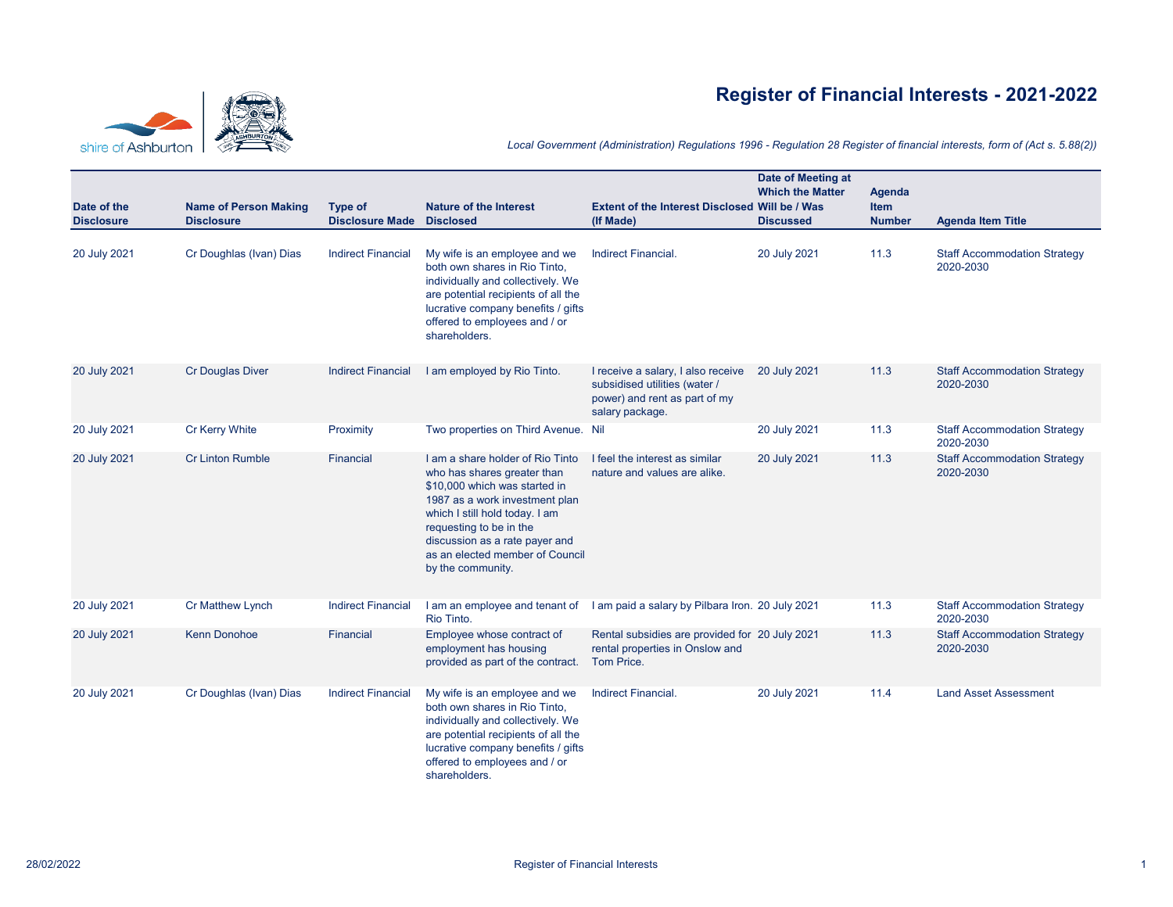



## *Local Government (Administration) Regulations 1996 - Regulation 28 Register of financial interests, form of (Act s. 5.88(2))*

| Date of the       | <b>Name of Person Making</b> | <b>Type of</b>            | <b>Nature of the Interest</b>                                                                                                                                                                                                                                                             | <b>Extent of the Interest Disclosed Will be / Was</b>                                                                   | Date of Meeting at<br><b>Which the Matter</b> | <b>Agenda</b><br><b>Item</b> |                                                  |
|-------------------|------------------------------|---------------------------|-------------------------------------------------------------------------------------------------------------------------------------------------------------------------------------------------------------------------------------------------------------------------------------------|-------------------------------------------------------------------------------------------------------------------------|-----------------------------------------------|------------------------------|--------------------------------------------------|
| <b>Disclosure</b> | <b>Disclosure</b>            | <b>Disclosure Made</b>    | <b>Disclosed</b>                                                                                                                                                                                                                                                                          | (If Made)                                                                                                               | <b>Discussed</b>                              | <b>Number</b>                | <b>Agenda Item Title</b>                         |
| 20 July 2021      | Cr Doughlas (Ivan) Dias      | <b>Indirect Financial</b> | My wife is an employee and we<br>both own shares in Rio Tinto,<br>individually and collectively. We<br>are potential recipients of all the<br>lucrative company benefits / gifts<br>offered to employees and / or<br>shareholders.                                                        | Indirect Financial.                                                                                                     | 20 July 2021                                  | 11.3                         | <b>Staff Accommodation Strategy</b><br>2020-2030 |
| 20 July 2021      | <b>Cr Douglas Diver</b>      | <b>Indirect Financial</b> | I am employed by Rio Tinto.                                                                                                                                                                                                                                                               | I receive a salary, I also receive<br>subsidised utilities (water /<br>power) and rent as part of my<br>salary package. | 20 July 2021                                  | 11.3                         | <b>Staff Accommodation Strategy</b><br>2020-2030 |
| 20 July 2021      | <b>Cr Kerry White</b>        | Proximity                 | Two properties on Third Avenue. Nil                                                                                                                                                                                                                                                       |                                                                                                                         | 20 July 2021                                  | 11.3                         | <b>Staff Accommodation Strategy</b><br>2020-2030 |
| 20 July 2021      | <b>Cr Linton Rumble</b>      | Financial                 | I am a share holder of Rio Tinto<br>who has shares greater than<br>\$10,000 which was started in<br>1987 as a work investment plan<br>which I still hold today. I am<br>requesting to be in the<br>discussion as a rate payer and<br>as an elected member of Council<br>by the community. | I feel the interest as similar<br>nature and values are alike.                                                          | 20 July 2021                                  | 11.3                         | <b>Staff Accommodation Strategy</b><br>2020-2030 |
| 20 July 2021      | <b>Cr Matthew Lynch</b>      | <b>Indirect Financial</b> | Rio Tinto.                                                                                                                                                                                                                                                                                | I am an employee and tenant of I am paid a salary by Pilbara Iron. 20 July 2021                                         |                                               | 11.3                         | <b>Staff Accommodation Strategy</b><br>2020-2030 |
| 20 July 2021      | <b>Kenn Donohoe</b>          | Financial                 | Employee whose contract of<br>employment has housing<br>provided as part of the contract.                                                                                                                                                                                                 | Rental subsidies are provided for 20 July 2021<br>rental properties in Onslow and<br>Tom Price.                         |                                               | 11.3                         | <b>Staff Accommodation Strategy</b><br>2020-2030 |
| 20 July 2021      | Cr Doughlas (Ivan) Dias      | <b>Indirect Financial</b> | My wife is an employee and we<br>both own shares in Rio Tinto,<br>individually and collectively. We<br>are potential recipients of all the<br>lucrative company benefits / gifts<br>offered to employees and / or<br>shareholders.                                                        | Indirect Financial.                                                                                                     | 20 July 2021                                  | 11.4                         | <b>Land Asset Assessment</b>                     |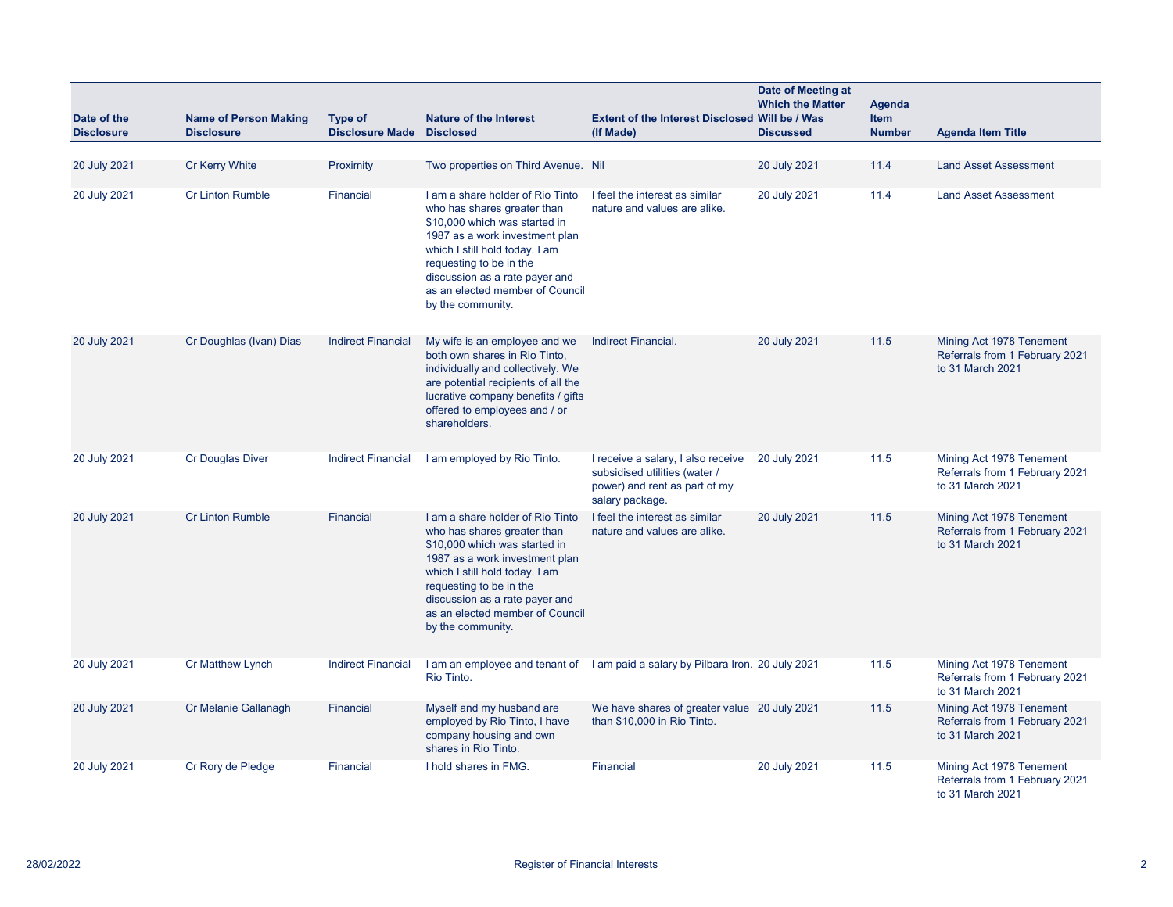| Date of the<br><b>Disclosure</b> | <b>Name of Person Making</b><br><b>Disclosure</b> | <b>Type of</b><br><b>Disclosure Made</b> | <b>Nature of the Interest</b><br><b>Disclosed</b>                                                                                                                                                                                                                                         | Extent of the Interest Disclosed Will be / Was<br>(If Made)                                                             | Date of Meeting at<br><b>Which the Matter</b><br><b>Discussed</b> | <b>Agenda</b><br>Item<br><b>Number</b> | <b>Agenda Item Title</b>                                                       |
|----------------------------------|---------------------------------------------------|------------------------------------------|-------------------------------------------------------------------------------------------------------------------------------------------------------------------------------------------------------------------------------------------------------------------------------------------|-------------------------------------------------------------------------------------------------------------------------|-------------------------------------------------------------------|----------------------------------------|--------------------------------------------------------------------------------|
|                                  |                                                   |                                          |                                                                                                                                                                                                                                                                                           |                                                                                                                         |                                                                   |                                        |                                                                                |
| 20 July 2021                     | <b>Cr Kerry White</b>                             | Proximity                                | Two properties on Third Avenue. Nil                                                                                                                                                                                                                                                       |                                                                                                                         | 20 July 2021                                                      | 11.4                                   | <b>Land Asset Assessment</b>                                                   |
| 20 July 2021                     | <b>Cr Linton Rumble</b>                           | Financial                                | I am a share holder of Rio Tinto<br>who has shares greater than<br>\$10,000 which was started in<br>1987 as a work investment plan<br>which I still hold today. I am<br>requesting to be in the<br>discussion as a rate payer and<br>as an elected member of Council<br>by the community. | I feel the interest as similar<br>nature and values are alike.                                                          | 20 July 2021                                                      | 11.4                                   | <b>Land Asset Assessment</b>                                                   |
| 20 July 2021                     | Cr Doughlas (Ivan) Dias                           | <b>Indirect Financial</b>                | My wife is an employee and we<br>both own shares in Rio Tinto,<br>individually and collectively. We<br>are potential recipients of all the<br>lucrative company benefits / gifts<br>offered to employees and / or<br>shareholders.                                                        | Indirect Financial.                                                                                                     | 20 July 2021                                                      | 11.5                                   | Mining Act 1978 Tenement<br>Referrals from 1 February 2021<br>to 31 March 2021 |
| 20 July 2021                     | <b>Cr Douglas Diver</b>                           | <b>Indirect Financial</b>                | I am employed by Rio Tinto.                                                                                                                                                                                                                                                               | I receive a salary, I also receive<br>subsidised utilities (water /<br>power) and rent as part of my<br>salary package. | 20 July 2021                                                      | 11.5                                   | Mining Act 1978 Tenement<br>Referrals from 1 February 2021<br>to 31 March 2021 |
| 20 July 2021                     | <b>Cr Linton Rumble</b>                           | Financial                                | I am a share holder of Rio Tinto<br>who has shares greater than<br>\$10,000 which was started in<br>1987 as a work investment plan<br>which I still hold today. I am<br>requesting to be in the<br>discussion as a rate payer and<br>as an elected member of Council<br>by the community. | I feel the interest as similar<br>nature and values are alike.                                                          | 20 July 2021                                                      | 11.5                                   | Mining Act 1978 Tenement<br>Referrals from 1 February 2021<br>to 31 March 2021 |
| 20 July 2021                     | <b>Cr Matthew Lynch</b>                           | <b>Indirect Financial</b>                | Rio Tinto.                                                                                                                                                                                                                                                                                | I am an employee and tenant of I am paid a salary by Pilbara Iron. 20 July 2021                                         |                                                                   | 11.5                                   | Mining Act 1978 Tenement<br>Referrals from 1 February 2021<br>to 31 March 2021 |
| 20 July 2021                     | Cr Melanie Gallanagh                              | Financial                                | Myself and my husband are<br>employed by Rio Tinto, I have<br>company housing and own<br>shares in Rio Tinto.                                                                                                                                                                             | We have shares of greater value 20 July 2021<br>than \$10,000 in Rio Tinto.                                             |                                                                   | 11.5                                   | Mining Act 1978 Tenement<br>Referrals from 1 February 2021<br>to 31 March 2021 |
| 20 July 2021                     | Cr Rory de Pledge                                 | Financial                                | I hold shares in FMG.                                                                                                                                                                                                                                                                     | Financial                                                                                                               | 20 July 2021                                                      | 11.5                                   | Mining Act 1978 Tenement<br>Referrals from 1 February 2021<br>to 31 March 2021 |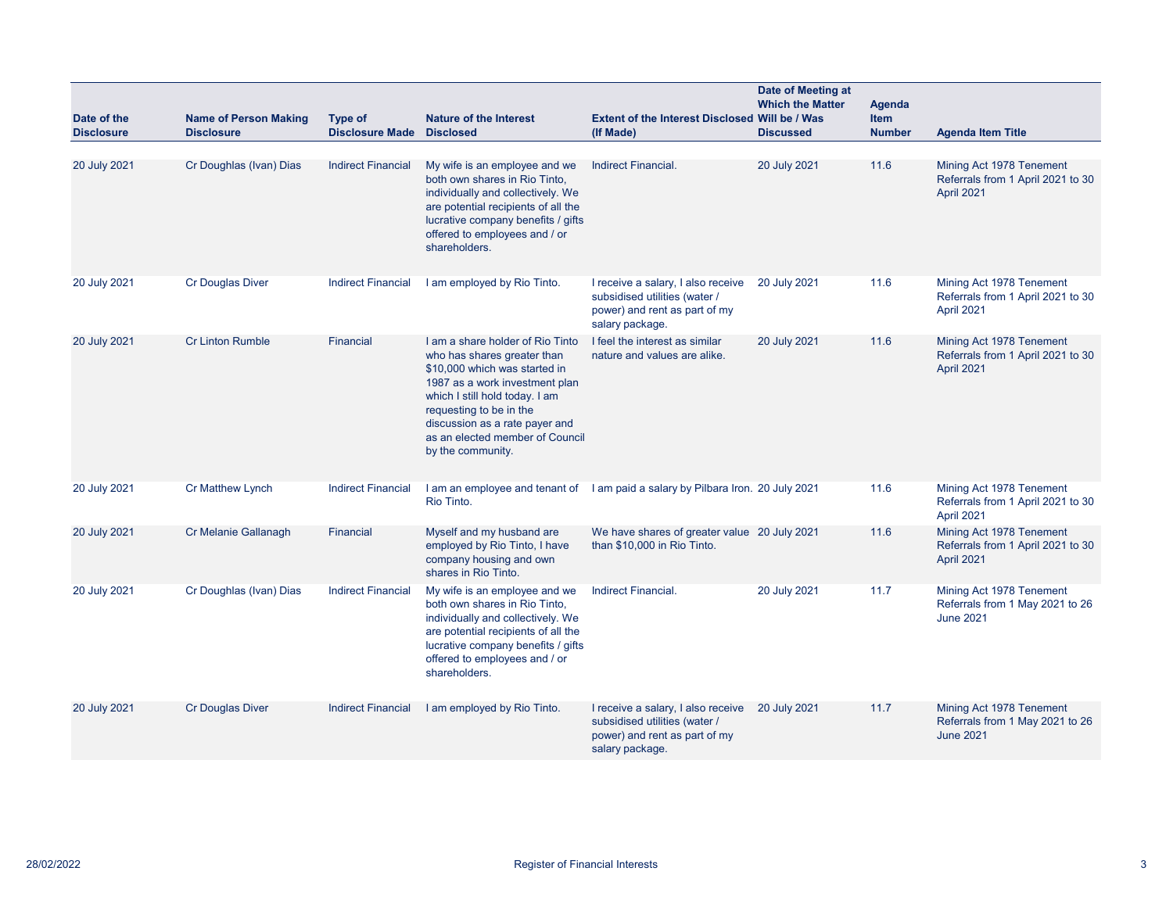| Date of the       | <b>Name of Person Making</b> | <b>Type of</b>            | <b>Nature of the Interest</b>                                                                                                                                                                                                                                                             | Extent of the Interest Disclosed Will be / Was                                                                          | Date of Meeting at<br><b>Which the Matter</b> | Agenda<br>Item |                                                                                 |
|-------------------|------------------------------|---------------------------|-------------------------------------------------------------------------------------------------------------------------------------------------------------------------------------------------------------------------------------------------------------------------------------------|-------------------------------------------------------------------------------------------------------------------------|-----------------------------------------------|----------------|---------------------------------------------------------------------------------|
| <b>Disclosure</b> | <b>Disclosure</b>            | <b>Disclosure Made</b>    | <b>Disclosed</b>                                                                                                                                                                                                                                                                          | (If Made)                                                                                                               | <b>Discussed</b>                              | <b>Number</b>  | <b>Agenda Item Title</b>                                                        |
| 20 July 2021      | Cr Doughlas (Ivan) Dias      | <b>Indirect Financial</b> | My wife is an employee and we<br>both own shares in Rio Tinto,<br>individually and collectively. We<br>are potential recipients of all the<br>lucrative company benefits / gifts<br>offered to employees and / or<br>shareholders.                                                        | Indirect Financial.                                                                                                     | 20 July 2021                                  | 11.6           | Mining Act 1978 Tenement<br>Referrals from 1 April 2021 to 30<br>April 2021     |
| 20 July 2021      | <b>Cr Douglas Diver</b>      | <b>Indirect Financial</b> | I am employed by Rio Tinto.                                                                                                                                                                                                                                                               | I receive a salary, I also receive<br>subsidised utilities (water /<br>power) and rent as part of my<br>salary package. | 20 July 2021                                  | 11.6           | Mining Act 1978 Tenement<br>Referrals from 1 April 2021 to 30<br>April 2021     |
| 20 July 2021      | <b>Cr Linton Rumble</b>      | Financial                 | I am a share holder of Rio Tinto<br>who has shares greater than<br>\$10,000 which was started in<br>1987 as a work investment plan<br>which I still hold today. I am<br>requesting to be in the<br>discussion as a rate payer and<br>as an elected member of Council<br>by the community. | I feel the interest as similar<br>nature and values are alike.                                                          | 20 July 2021                                  | 11.6           | Mining Act 1978 Tenement<br>Referrals from 1 April 2021 to 30<br>April 2021     |
| 20 July 2021      | <b>Cr Matthew Lynch</b>      | <b>Indirect Financial</b> | Rio Tinto.                                                                                                                                                                                                                                                                                | I am an employee and tenant of I am paid a salary by Pilbara Iron. 20 July 2021                                         |                                               | 11.6           | Mining Act 1978 Tenement<br>Referrals from 1 April 2021 to 30<br>April 2021     |
| 20 July 2021      | Cr Melanie Gallanagh         | Financial                 | Myself and my husband are<br>employed by Rio Tinto, I have<br>company housing and own<br>shares in Rio Tinto.                                                                                                                                                                             | We have shares of greater value 20 July 2021<br>than \$10,000 in Rio Tinto.                                             |                                               | 11.6           | Mining Act 1978 Tenement<br>Referrals from 1 April 2021 to 30<br>April 2021     |
| 20 July 2021      | Cr Doughlas (Ivan) Dias      | <b>Indirect Financial</b> | My wife is an employee and we<br>both own shares in Rio Tinto,<br>individually and collectively. We<br>are potential recipients of all the<br>lucrative company benefits / gifts<br>offered to employees and / or<br>shareholders.                                                        | Indirect Financial.                                                                                                     | 20 July 2021                                  | 11.7           | Mining Act 1978 Tenement<br>Referrals from 1 May 2021 to 26<br><b>June 2021</b> |
| 20 July 2021      | <b>Cr Douglas Diver</b>      | <b>Indirect Financial</b> | I am employed by Rio Tinto.                                                                                                                                                                                                                                                               | I receive a salary, I also receive<br>subsidised utilities (water /<br>power) and rent as part of my<br>salary package. | 20 July 2021                                  | 11.7           | Mining Act 1978 Tenement<br>Referrals from 1 May 2021 to 26<br><b>June 2021</b> |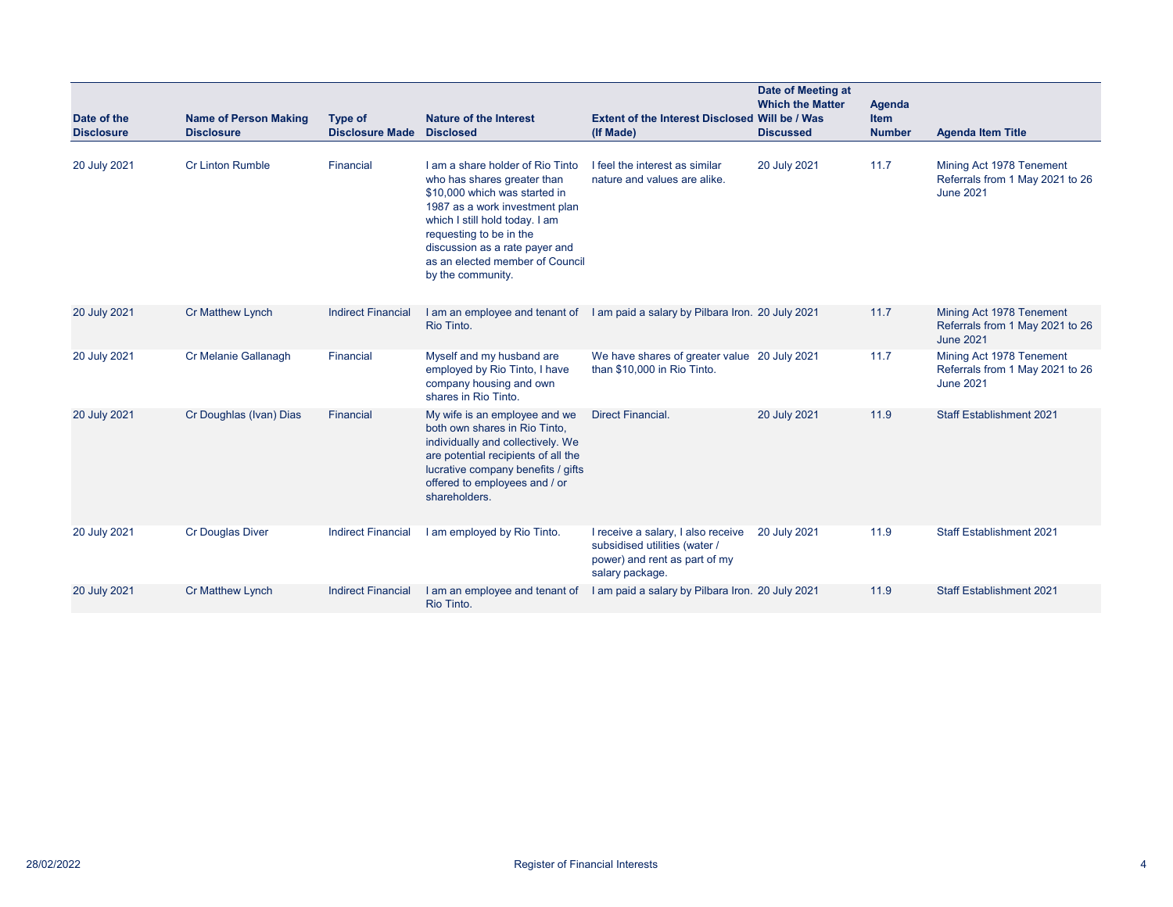| Date of the<br><b>Disclosure</b> | <b>Name of Person Making</b><br><b>Disclosure</b> | Type of<br><b>Disclosure Made</b> | <b>Nature of the Interest</b><br><b>Disclosed</b>                                                                                                                                                                                                                                         | Extent of the Interest Disclosed Will be / Was<br>(If Made)                                                             | Date of Meeting at<br><b>Which the Matter</b><br><b>Discussed</b> | Agenda<br><b>Item</b><br><b>Number</b> | <b>Agenda Item Title</b>                                                        |
|----------------------------------|---------------------------------------------------|-----------------------------------|-------------------------------------------------------------------------------------------------------------------------------------------------------------------------------------------------------------------------------------------------------------------------------------------|-------------------------------------------------------------------------------------------------------------------------|-------------------------------------------------------------------|----------------------------------------|---------------------------------------------------------------------------------|
| 20 July 2021                     | Cr Linton Rumble                                  | Financial                         | I am a share holder of Rio Tinto<br>who has shares greater than<br>\$10,000 which was started in<br>1987 as a work investment plan<br>which I still hold today. I am<br>requesting to be in the<br>discussion as a rate payer and<br>as an elected member of Council<br>by the community. | I feel the interest as similar<br>nature and values are alike.                                                          | 20 July 2021                                                      | 11.7                                   | Mining Act 1978 Tenement<br>Referrals from 1 May 2021 to 26<br><b>June 2021</b> |
| 20 July 2021                     | Cr Matthew Lynch                                  | <b>Indirect Financial</b>         | Rio Tinto.                                                                                                                                                                                                                                                                                | I am an employee and tenant of I am paid a salary by Pilbara Iron. 20 July 2021                                         |                                                                   | 11.7                                   | Mining Act 1978 Tenement<br>Referrals from 1 May 2021 to 26<br><b>June 2021</b> |
| 20 July 2021                     | Cr Melanie Gallanagh                              | Financial                         | Myself and my husband are<br>employed by Rio Tinto, I have<br>company housing and own<br>shares in Rio Tinto.                                                                                                                                                                             | We have shares of greater value 20 July 2021<br>than \$10,000 in Rio Tinto.                                             |                                                                   | 11.7                                   | Mining Act 1978 Tenement<br>Referrals from 1 May 2021 to 26<br><b>June 2021</b> |
| 20 July 2021                     | Cr Doughlas (Ivan) Dias                           | Financial                         | My wife is an employee and we<br>both own shares in Rio Tinto,<br>individually and collectively. We<br>are potential recipients of all the<br>lucrative company benefits / gifts<br>offered to employees and / or<br>shareholders.                                                        | <b>Direct Financial.</b>                                                                                                | 20 July 2021                                                      | 11.9                                   | <b>Staff Establishment 2021</b>                                                 |
| 20 July 2021                     | <b>Cr Douglas Diver</b>                           | <b>Indirect Financial</b>         | I am employed by Rio Tinto.                                                                                                                                                                                                                                                               | I receive a salary, I also receive<br>subsidised utilities (water /<br>power) and rent as part of my<br>salary package. | 20 July 2021                                                      | 11.9                                   | <b>Staff Establishment 2021</b>                                                 |
| 20 July 2021                     | <b>Cr Matthew Lynch</b>                           | <b>Indirect Financial</b>         | I am an employee and tenant of<br>Rio Tinto.                                                                                                                                                                                                                                              | I am paid a salary by Pilbara Iron. 20 July 2021                                                                        |                                                                   | 11.9                                   | <b>Staff Establishment 2021</b>                                                 |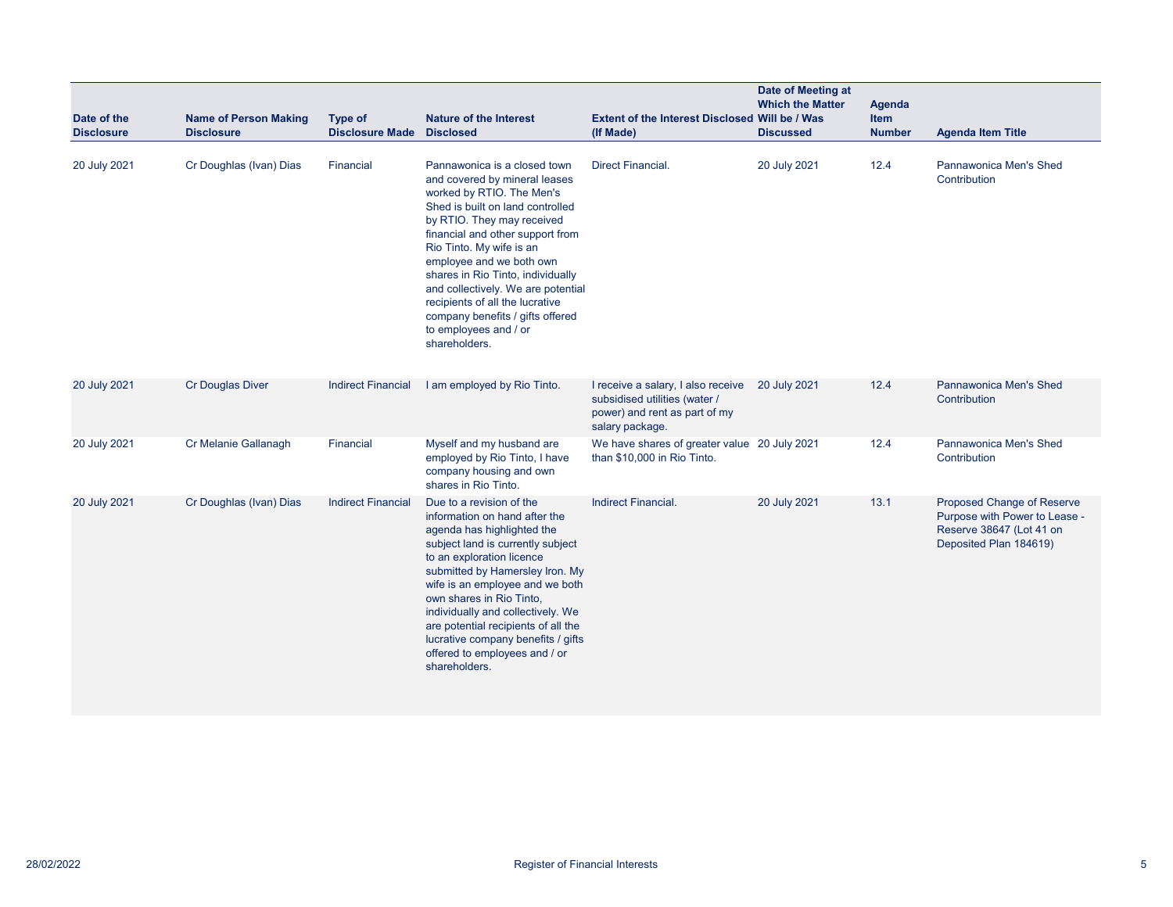| Date of the<br><b>Disclosure</b> | <b>Name of Person Making</b><br><b>Disclosure</b> | <b>Type of</b><br><b>Disclosure Made</b> | <b>Nature of the Interest</b><br><b>Disclosed</b>                                                                                                                                                                                                                                                                                                                                                                                                    | <b>Extent of the Interest Disclosed Will be / Was</b><br>(If Made)                                                      | Date of Meeting at<br><b>Which the Matter</b><br><b>Discussed</b> | Agenda<br><b>Item</b><br><b>Number</b> | <b>Agenda Item Title</b>                                                                                          |
|----------------------------------|---------------------------------------------------|------------------------------------------|------------------------------------------------------------------------------------------------------------------------------------------------------------------------------------------------------------------------------------------------------------------------------------------------------------------------------------------------------------------------------------------------------------------------------------------------------|-------------------------------------------------------------------------------------------------------------------------|-------------------------------------------------------------------|----------------------------------------|-------------------------------------------------------------------------------------------------------------------|
| 20 July 2021                     | Cr Doughlas (Ivan) Dias                           | Financial                                | Pannawonica is a closed town<br>and covered by mineral leases<br>worked by RTIO. The Men's<br>Shed is built on land controlled<br>by RTIO. They may received<br>financial and other support from<br>Rio Tinto. My wife is an<br>employee and we both own<br>shares in Rio Tinto, individually<br>and collectively. We are potential<br>recipients of all the lucrative<br>company benefits / gifts offered<br>to employees and / or<br>shareholders. | <b>Direct Financial.</b>                                                                                                | 20 July 2021                                                      | 12.4                                   | <b>Pannawonica Men's Shed</b><br>Contribution                                                                     |
| 20 July 2021                     | <b>Cr Douglas Diver</b>                           | <b>Indirect Financial</b>                | I am employed by Rio Tinto.                                                                                                                                                                                                                                                                                                                                                                                                                          | I receive a salary, I also receive<br>subsidised utilities (water /<br>power) and rent as part of my<br>salary package. | 20 July 2021                                                      | 12.4                                   | Pannawonica Men's Shed<br>Contribution                                                                            |
| 20 July 2021                     | Cr Melanie Gallanagh                              | Financial                                | Myself and my husband are<br>employed by Rio Tinto, I have<br>company housing and own<br>shares in Rio Tinto.                                                                                                                                                                                                                                                                                                                                        | We have shares of greater value 20 July 2021<br>than \$10,000 in Rio Tinto.                                             |                                                                   | 12.4                                   | <b>Pannawonica Men's Shed</b><br>Contribution                                                                     |
| 20 July 2021                     | Cr Doughlas (Ivan) Dias                           | <b>Indirect Financial</b>                | Due to a revision of the<br>information on hand after the<br>agenda has highlighted the<br>subject land is currently subject<br>to an exploration licence<br>submitted by Hamersley Iron. My<br>wife is an employee and we both<br>own shares in Rio Tinto,<br>individually and collectively. We<br>are potential recipients of all the<br>lucrative company benefits / gifts<br>offered to employees and / or<br>shareholders.                      | Indirect Financial.                                                                                                     | 20 July 2021                                                      | 13.1                                   | Proposed Change of Reserve<br>Purpose with Power to Lease -<br>Reserve 38647 (Lot 41 on<br>Deposited Plan 184619) |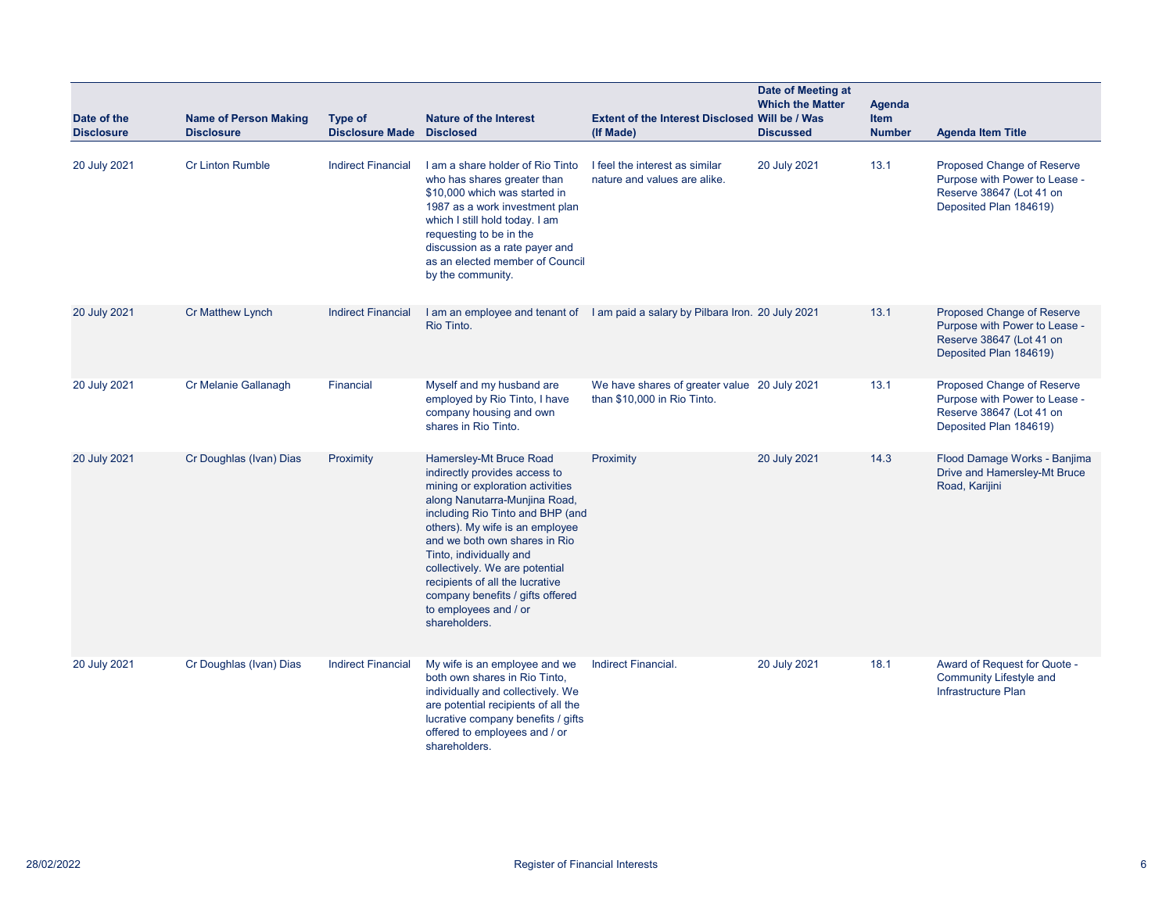|                                  |                                                   |                                   |                                                                                                                                                                                                                                                                                                                                                                                                                     |                                                                                 | Date of Meeting at<br><b>Which the Matter</b> | <b>Agenda</b>                |                                                                                                                   |
|----------------------------------|---------------------------------------------------|-----------------------------------|---------------------------------------------------------------------------------------------------------------------------------------------------------------------------------------------------------------------------------------------------------------------------------------------------------------------------------------------------------------------------------------------------------------------|---------------------------------------------------------------------------------|-----------------------------------------------|------------------------------|-------------------------------------------------------------------------------------------------------------------|
| Date of the<br><b>Disclosure</b> | <b>Name of Person Making</b><br><b>Disclosure</b> | Type of<br><b>Disclosure Made</b> | <b>Nature of the Interest</b><br><b>Disclosed</b>                                                                                                                                                                                                                                                                                                                                                                   | Extent of the Interest Disclosed Will be / Was<br>(If Made)                     | <b>Discussed</b>                              | <b>Item</b><br><b>Number</b> | <b>Agenda Item Title</b>                                                                                          |
| 20 July 2021                     | <b>Cr Linton Rumble</b>                           | <b>Indirect Financial</b>         | I am a share holder of Rio Tinto<br>who has shares greater than<br>\$10,000 which was started in<br>1987 as a work investment plan<br>which I still hold today. I am<br>requesting to be in the<br>discussion as a rate payer and<br>as an elected member of Council<br>by the community.                                                                                                                           | I feel the interest as similar<br>nature and values are alike.                  | 20 July 2021                                  | 13.1                         | Proposed Change of Reserve<br>Purpose with Power to Lease -<br>Reserve 38647 (Lot 41 on<br>Deposited Plan 184619) |
| 20 July 2021                     | <b>Cr Matthew Lynch</b>                           | <b>Indirect Financial</b>         | Rio Tinto.                                                                                                                                                                                                                                                                                                                                                                                                          | I am an employee and tenant of I am paid a salary by Pilbara Iron. 20 July 2021 |                                               | 13.1                         | Proposed Change of Reserve<br>Purpose with Power to Lease -<br>Reserve 38647 (Lot 41 on<br>Deposited Plan 184619) |
| 20 July 2021                     | Cr Melanie Gallanagh                              | Financial                         | Myself and my husband are<br>employed by Rio Tinto, I have<br>company housing and own<br>shares in Rio Tinto.                                                                                                                                                                                                                                                                                                       | We have shares of greater value 20 July 2021<br>than \$10,000 in Rio Tinto.     |                                               | 13.1                         | Proposed Change of Reserve<br>Purpose with Power to Lease -<br>Reserve 38647 (Lot 41 on<br>Deposited Plan 184619) |
| 20 July 2021                     | Cr Doughlas (Ivan) Dias                           | Proximity                         | Hamersley-Mt Bruce Road<br>indirectly provides access to<br>mining or exploration activities<br>along Nanutarra-Munjina Road,<br>including Rio Tinto and BHP (and<br>others). My wife is an employee<br>and we both own shares in Rio<br>Tinto, individually and<br>collectively. We are potential<br>recipients of all the lucrative<br>company benefits / gifts offered<br>to employees and / or<br>shareholders. | Proximity                                                                       | 20 July 2021                                  | 14.3                         | Flood Damage Works - Banjima<br>Drive and Hamersley-Mt Bruce<br>Road, Karijini                                    |
| 20 July 2021                     | Cr Doughlas (Ivan) Dias                           | <b>Indirect Financial</b>         | My wife is an employee and we<br>both own shares in Rio Tinto,<br>individually and collectively. We<br>are potential recipients of all the<br>lucrative company benefits / gifts<br>offered to employees and / or<br>shareholders.                                                                                                                                                                                  | Indirect Financial.                                                             | 20 July 2021                                  | 18.1                         | Award of Request for Quote -<br><b>Community Lifestyle and</b><br>Infrastructure Plan                             |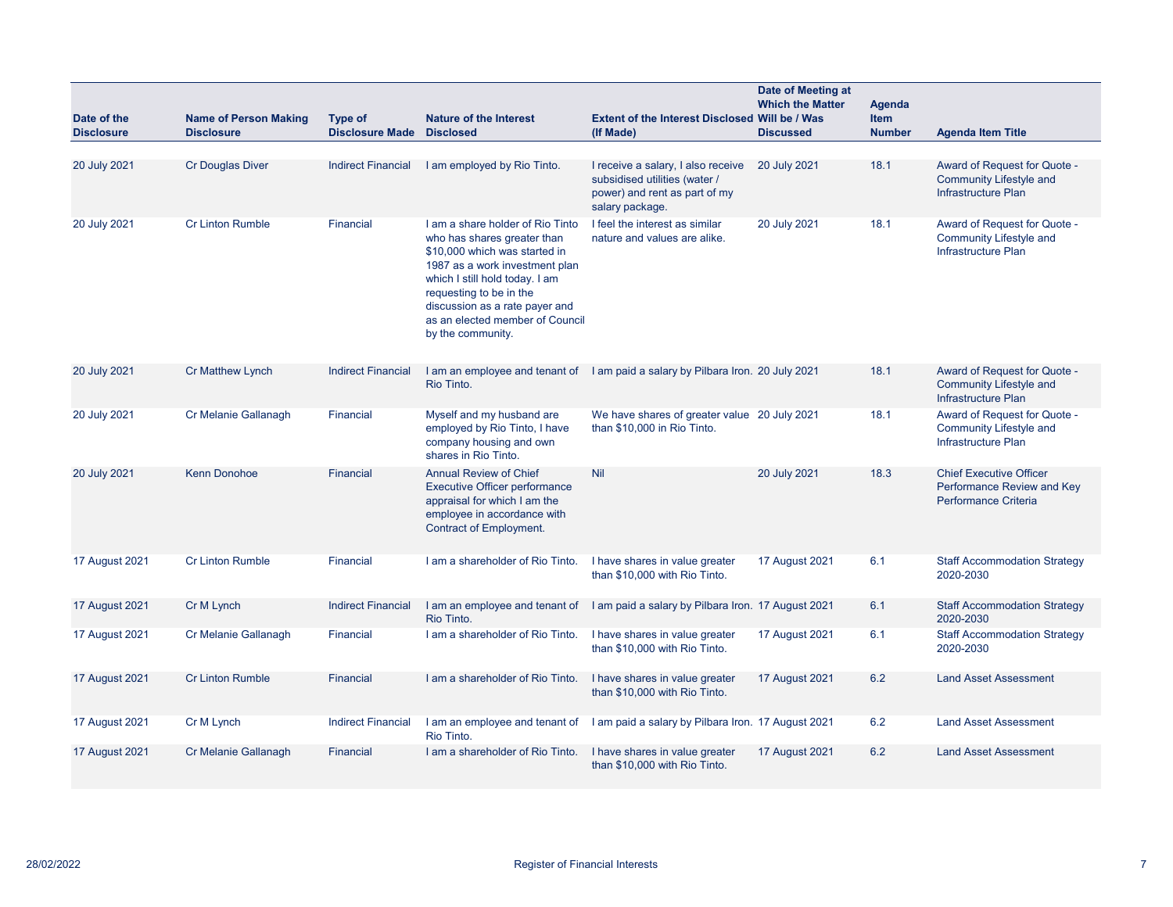| Date of the<br><b>Disclosure</b> | <b>Name of Person Making</b><br><b>Disclosure</b> | <b>Type of</b><br><b>Disclosure Made Disclosed</b> | <b>Nature of the Interest</b>                                                                                                                                                                                                                                                             | <b>Extent of the Interest Disclosed Will be / Was</b><br>(If Made)                                                      | Date of Meeting at<br><b>Which the Matter</b><br><b>Discussed</b> | Agenda<br><b>Item</b><br><b>Number</b> | <b>Agenda Item Title</b>                                                              |
|----------------------------------|---------------------------------------------------|----------------------------------------------------|-------------------------------------------------------------------------------------------------------------------------------------------------------------------------------------------------------------------------------------------------------------------------------------------|-------------------------------------------------------------------------------------------------------------------------|-------------------------------------------------------------------|----------------------------------------|---------------------------------------------------------------------------------------|
|                                  |                                                   |                                                    |                                                                                                                                                                                                                                                                                           |                                                                                                                         |                                                                   |                                        |                                                                                       |
| 20 July 2021                     | Cr Douglas Diver                                  | <b>Indirect Financial</b>                          | I am employed by Rio Tinto.                                                                                                                                                                                                                                                               | I receive a salary, I also receive<br>subsidised utilities (water /<br>power) and rent as part of my<br>salary package. | 20 July 2021                                                      | 18.1                                   | Award of Request for Quote -<br><b>Community Lifestyle and</b><br>Infrastructure Plan |
| 20 July 2021                     | <b>Cr Linton Rumble</b>                           | Financial                                          | I am a share holder of Rio Tinto<br>who has shares greater than<br>\$10,000 which was started in<br>1987 as a work investment plan<br>which I still hold today. I am<br>requesting to be in the<br>discussion as a rate payer and<br>as an elected member of Council<br>by the community. | I feel the interest as similar<br>nature and values are alike.                                                          | 20 July 2021                                                      | 18.1                                   | Award of Request for Quote -<br>Community Lifestyle and<br>Infrastructure Plan        |
| 20 July 2021                     | <b>Cr Matthew Lynch</b>                           | <b>Indirect Financial</b>                          | Rio Tinto.                                                                                                                                                                                                                                                                                | I am an employee and tenant of I am paid a salary by Pilbara Iron. 20 July 2021                                         |                                                                   | 18.1                                   | Award of Request for Quote -<br><b>Community Lifestyle and</b><br>Infrastructure Plan |
| 20 July 2021                     | Cr Melanie Gallanagh                              | Financial                                          | Myself and my husband are<br>employed by Rio Tinto, I have<br>company housing and own<br>shares in Rio Tinto.                                                                                                                                                                             | We have shares of greater value 20 July 2021<br>than \$10,000 in Rio Tinto.                                             |                                                                   | 18.1                                   | Award of Request for Quote -<br>Community Lifestyle and<br>Infrastructure Plan        |
| 20 July 2021                     | <b>Kenn Donohoe</b>                               | Financial                                          | <b>Annual Review of Chief</b><br><b>Executive Officer performance</b><br>appraisal for which I am the<br>employee in accordance with<br>Contract of Employment.                                                                                                                           | Nil                                                                                                                     | 20 July 2021                                                      | 18.3                                   | <b>Chief Executive Officer</b><br>Performance Review and Key<br>Performance Criteria  |
| 17 August 2021                   | <b>Cr Linton Rumble</b>                           | Financial                                          | I am a shareholder of Rio Tinto.                                                                                                                                                                                                                                                          | I have shares in value greater<br>than \$10,000 with Rio Tinto.                                                         | <b>17 August 2021</b>                                             | 6.1                                    | <b>Staff Accommodation Strategy</b><br>2020-2030                                      |
| <b>17 August 2021</b>            | Cr M Lynch                                        | <b>Indirect Financial</b>                          | I am an employee and tenant of<br>Rio Tinto.                                                                                                                                                                                                                                              | I am paid a salary by Pilbara Iron. 17 August 2021                                                                      |                                                                   | 6.1                                    | <b>Staff Accommodation Strategy</b><br>2020-2030                                      |
| 17 August 2021                   | Cr Melanie Gallanagh                              | Financial                                          | I am a shareholder of Rio Tinto.                                                                                                                                                                                                                                                          | I have shares in value greater<br>than \$10,000 with Rio Tinto.                                                         | 17 August 2021                                                    | 6.1                                    | <b>Staff Accommodation Strategy</b><br>2020-2030                                      |
| <b>17 August 2021</b>            | <b>Cr Linton Rumble</b>                           | Financial                                          | I am a shareholder of Rio Tinto.                                                                                                                                                                                                                                                          | I have shares in value greater<br>than \$10,000 with Rio Tinto.                                                         | 17 August 2021                                                    | 6.2                                    | <b>Land Asset Assessment</b>                                                          |
| <b>17 August 2021</b>            | Cr M Lynch                                        | <b>Indirect Financial</b>                          | I am an employee and tenant of<br>Rio Tinto.                                                                                                                                                                                                                                              | I am paid a salary by Pilbara Iron. 17 August 2021                                                                      |                                                                   | 6.2                                    | <b>Land Asset Assessment</b>                                                          |
| <b>17 August 2021</b>            | Cr Melanie Gallanagh                              | Financial                                          | I am a shareholder of Rio Tinto.                                                                                                                                                                                                                                                          | I have shares in value greater<br>than \$10,000 with Rio Tinto.                                                         | <b>17 August 2021</b>                                             | 6.2                                    | <b>Land Asset Assessment</b>                                                          |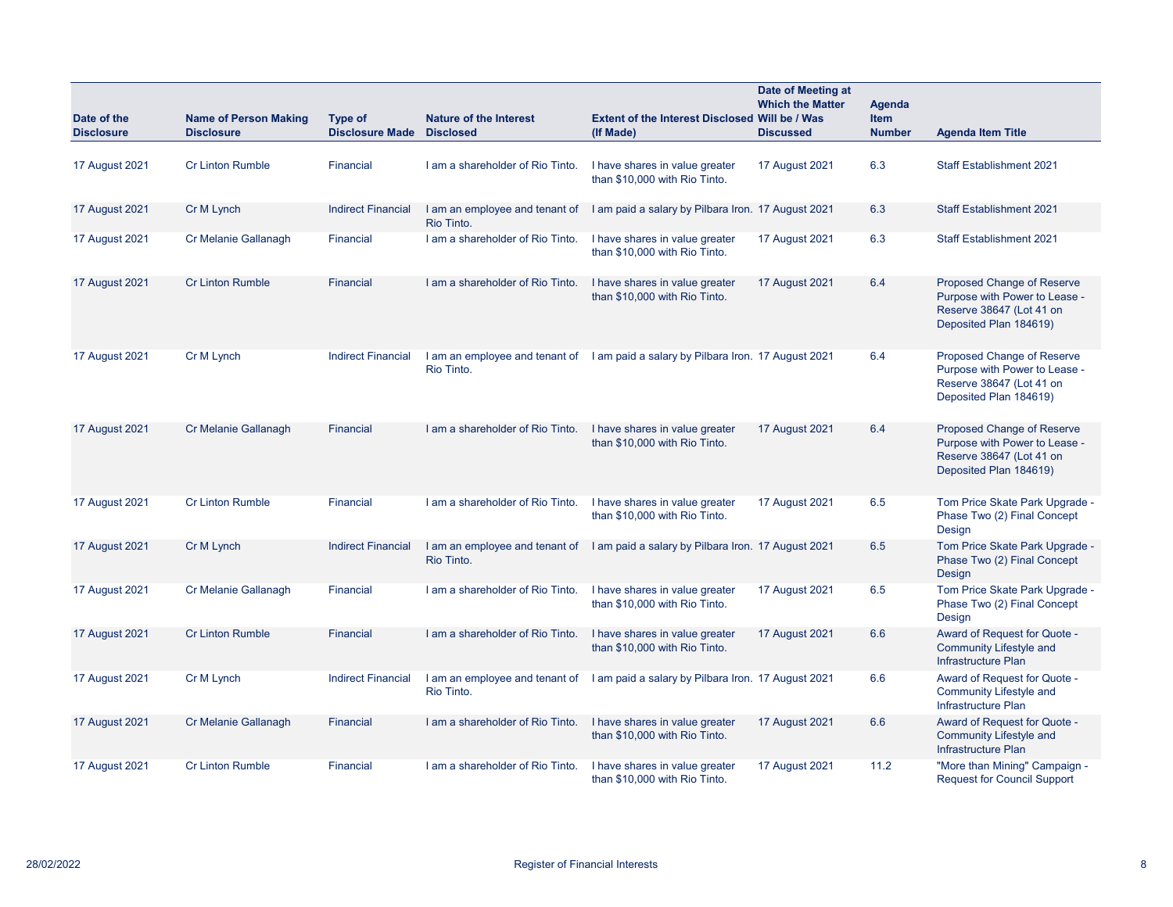| Date of the<br><b>Disclosure</b> | <b>Name of Person Making</b><br><b>Disclosure</b> | <b>Type of</b><br><b>Disclosure Made Disclosed</b> | <b>Nature of the Interest</b>                | <b>Extent of the Interest Disclosed Will be / Was</b><br>(If Made)                | Date of Meeting at<br><b>Which the Matter</b><br><b>Discussed</b> | Agenda<br><b>Item</b><br><b>Number</b> | <b>Agenda Item Title</b>                                                                                          |
|----------------------------------|---------------------------------------------------|----------------------------------------------------|----------------------------------------------|-----------------------------------------------------------------------------------|-------------------------------------------------------------------|----------------------------------------|-------------------------------------------------------------------------------------------------------------------|
| 17 August 2021                   | <b>Cr Linton Rumble</b>                           | Financial                                          | I am a shareholder of Rio Tinto.             | I have shares in value greater<br>than \$10,000 with Rio Tinto.                   | 17 August 2021                                                    | 6.3                                    | <b>Staff Establishment 2021</b>                                                                                   |
| <b>17 August 2021</b>            | Cr M Lynch                                        | <b>Indirect Financial</b>                          | I am an employee and tenant of<br>Rio Tinto. | I am paid a salary by Pilbara Iron. 17 August 2021                                |                                                                   | 6.3                                    | <b>Staff Establishment 2021</b>                                                                                   |
| 17 August 2021                   | Cr Melanie Gallanagh                              | Financial                                          | I am a shareholder of Rio Tinto.             | I have shares in value greater<br>than \$10,000 with Rio Tinto.                   | <b>17 August 2021</b>                                             | 6.3                                    | <b>Staff Establishment 2021</b>                                                                                   |
| <b>17 August 2021</b>            | <b>Cr Linton Rumble</b>                           | <b>Financial</b>                                   | I am a shareholder of Rio Tinto.             | I have shares in value greater<br>than \$10,000 with Rio Tinto.                   | 17 August 2021                                                    | 6.4                                    | Proposed Change of Reserve<br>Purpose with Power to Lease -<br>Reserve 38647 (Lot 41 on<br>Deposited Plan 184619) |
| <b>17 August 2021</b>            | Cr M Lynch                                        | <b>Indirect Financial</b>                          | Rio Tinto.                                   | I am an employee and tenant of I am paid a salary by Pilbara Iron. 17 August 2021 |                                                                   | 6.4                                    | Proposed Change of Reserve<br>Purpose with Power to Lease -<br>Reserve 38647 (Lot 41 on<br>Deposited Plan 184619) |
| <b>17 August 2021</b>            | Cr Melanie Gallanagh                              | <b>Financial</b>                                   | I am a shareholder of Rio Tinto.             | I have shares in value greater<br>than \$10,000 with Rio Tinto.                   | 17 August 2021                                                    | 6.4                                    | Proposed Change of Reserve<br>Purpose with Power to Lease -<br>Reserve 38647 (Lot 41 on<br>Deposited Plan 184619) |
| <b>17 August 2021</b>            | <b>Cr Linton Rumble</b>                           | <b>Financial</b>                                   | I am a shareholder of Rio Tinto.             | I have shares in value greater<br>than \$10,000 with Rio Tinto.                   | 17 August 2021                                                    | 6.5                                    | Tom Price Skate Park Upgrade -<br>Phase Two (2) Final Concept<br>Design                                           |
| 17 August 2021                   | Cr M Lynch                                        | <b>Indirect Financial</b>                          | I am an employee and tenant of<br>Rio Tinto. | I am paid a salary by Pilbara Iron. 17 August 2021                                |                                                                   | 6.5                                    | Tom Price Skate Park Upgrade -<br>Phase Two (2) Final Concept<br>Design                                           |
| 17 August 2021                   | Cr Melanie Gallanagh                              | Financial                                          | I am a shareholder of Rio Tinto.             | I have shares in value greater<br>than \$10,000 with Rio Tinto.                   | 17 August 2021                                                    | 6.5                                    | Tom Price Skate Park Upgrade -<br>Phase Two (2) Final Concept<br>Design                                           |
| <b>17 August 2021</b>            | <b>Cr Linton Rumble</b>                           | Financial                                          | I am a shareholder of Rio Tinto.             | I have shares in value greater<br>than \$10,000 with Rio Tinto.                   | <b>17 August 2021</b>                                             | 6.6                                    | Award of Request for Quote -<br>Community Lifestyle and<br>Infrastructure Plan                                    |
| <b>17 August 2021</b>            | Cr M Lynch                                        | <b>Indirect Financial</b>                          | I am an employee and tenant of<br>Rio Tinto. | I am paid a salary by Pilbara Iron. 17 August 2021                                |                                                                   | 6.6                                    | Award of Request for Quote -<br>Community Lifestyle and<br>Infrastructure Plan                                    |
| <b>17 August 2021</b>            | Cr Melanie Gallanagh                              | <b>Financial</b>                                   | I am a shareholder of Rio Tinto.             | I have shares in value greater<br>than \$10,000 with Rio Tinto.                   | 17 August 2021                                                    | 6.6                                    | Award of Request for Quote -<br><b>Community Lifestyle and</b><br>Infrastructure Plan                             |
| 17 August 2021                   | <b>Cr Linton Rumble</b>                           | Financial                                          | I am a shareholder of Rio Tinto.             | I have shares in value greater<br>than \$10,000 with Rio Tinto.                   | 17 August 2021                                                    | 11.2                                   | "More than Mining" Campaign -<br><b>Request for Council Support</b>                                               |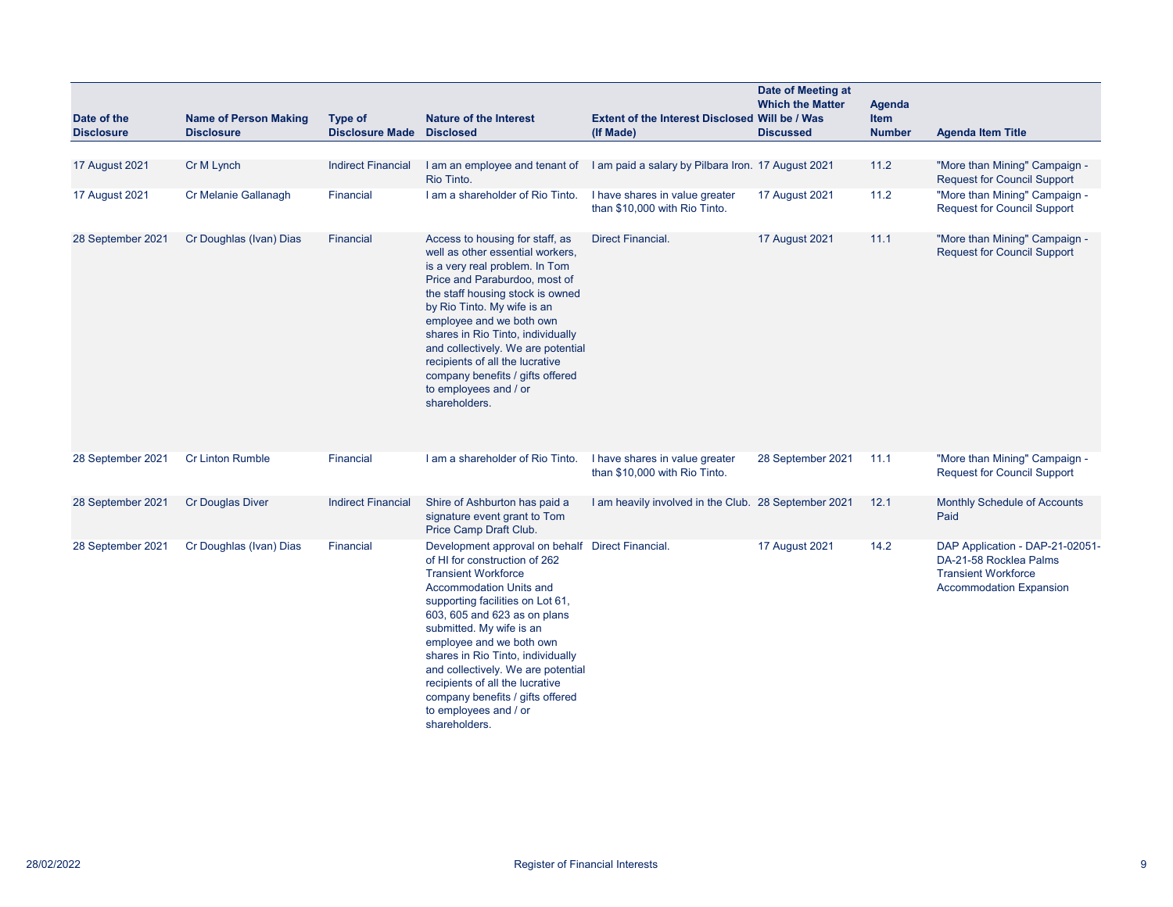| Date of the<br><b>Disclosure</b> | <b>Name of Person Making</b><br><b>Disclosure</b> | Type of<br><b>Disclosure Made</b> | <b>Nature of the Interest</b><br><b>Disclosed</b>                                                                                                                                                                                                                                                                                                                                                                                                                         | <b>Extent of the Interest Disclosed Will be / Was</b><br>(If Made)                | Date of Meeting at<br><b>Which the Matter</b><br><b>Discussed</b> | <b>Agenda</b><br><b>Item</b><br><b>Number</b> | <b>Agenda Item Title</b>                                                                                                  |
|----------------------------------|---------------------------------------------------|-----------------------------------|---------------------------------------------------------------------------------------------------------------------------------------------------------------------------------------------------------------------------------------------------------------------------------------------------------------------------------------------------------------------------------------------------------------------------------------------------------------------------|-----------------------------------------------------------------------------------|-------------------------------------------------------------------|-----------------------------------------------|---------------------------------------------------------------------------------------------------------------------------|
| <b>17 August 2021</b>            | Cr M Lynch                                        | <b>Indirect Financial</b>         | Rio Tinto.                                                                                                                                                                                                                                                                                                                                                                                                                                                                | I am an employee and tenant of I am paid a salary by Pilbara Iron. 17 August 2021 |                                                                   | 11.2                                          | "More than Mining" Campaign -<br><b>Request for Council Support</b>                                                       |
| 17 August 2021                   | Cr Melanie Gallanagh                              | Financial                         | I am a shareholder of Rio Tinto.                                                                                                                                                                                                                                                                                                                                                                                                                                          | I have shares in value greater<br>than \$10,000 with Rio Tinto.                   | <b>17 August 2021</b>                                             | 11.2                                          | "More than Mining" Campaign -<br><b>Request for Council Support</b>                                                       |
| 28 September 2021                | Cr Doughlas (Ivan) Dias                           | Financial                         | Access to housing for staff, as<br>well as other essential workers,<br>is a very real problem. In Tom<br>Price and Paraburdoo, most of<br>the staff housing stock is owned<br>by Rio Tinto. My wife is an<br>employee and we both own<br>shares in Rio Tinto, individually<br>and collectively. We are potential<br>recipients of all the lucrative<br>company benefits / gifts offered<br>to employees and / or<br>shareholders.                                         | <b>Direct Financial.</b>                                                          | <b>17 August 2021</b>                                             | 11.1                                          | "More than Mining" Campaign -<br><b>Request for Council Support</b>                                                       |
| 28 September 2021                | <b>Cr Linton Rumble</b>                           | Financial                         | I am a shareholder of Rio Tinto.                                                                                                                                                                                                                                                                                                                                                                                                                                          | I have shares in value greater<br>than \$10,000 with Rio Tinto.                   | 28 September 2021                                                 | 11.1                                          | "More than Mining" Campaign -<br><b>Request for Council Support</b>                                                       |
| 28 September 2021                | <b>Cr Douglas Diver</b>                           | <b>Indirect Financial</b>         | Shire of Ashburton has paid a<br>signature event grant to Tom<br>Price Camp Draft Club.                                                                                                                                                                                                                                                                                                                                                                                   | I am heavily involved in the Club. 28 September 2021                              |                                                                   | 12.1                                          | Monthly Schedule of Accounts<br>Paid                                                                                      |
| 28 September 2021                | Cr Doughlas (Ivan) Dias                           | Financial                         | Development approval on behalf Direct Financial.<br>of HI for construction of 262<br><b>Transient Workforce</b><br><b>Accommodation Units and</b><br>supporting facilities on Lot 61,<br>603, 605 and 623 as on plans<br>submitted. My wife is an<br>employee and we both own<br>shares in Rio Tinto, individually<br>and collectively. We are potential<br>recipients of all the lucrative<br>company benefits / gifts offered<br>to employees and / or<br>shareholders. |                                                                                   | <b>17 August 2021</b>                                             | 14.2                                          | DAP Application - DAP-21-02051-<br>DA-21-58 Rocklea Palms<br><b>Transient Workforce</b><br><b>Accommodation Expansion</b> |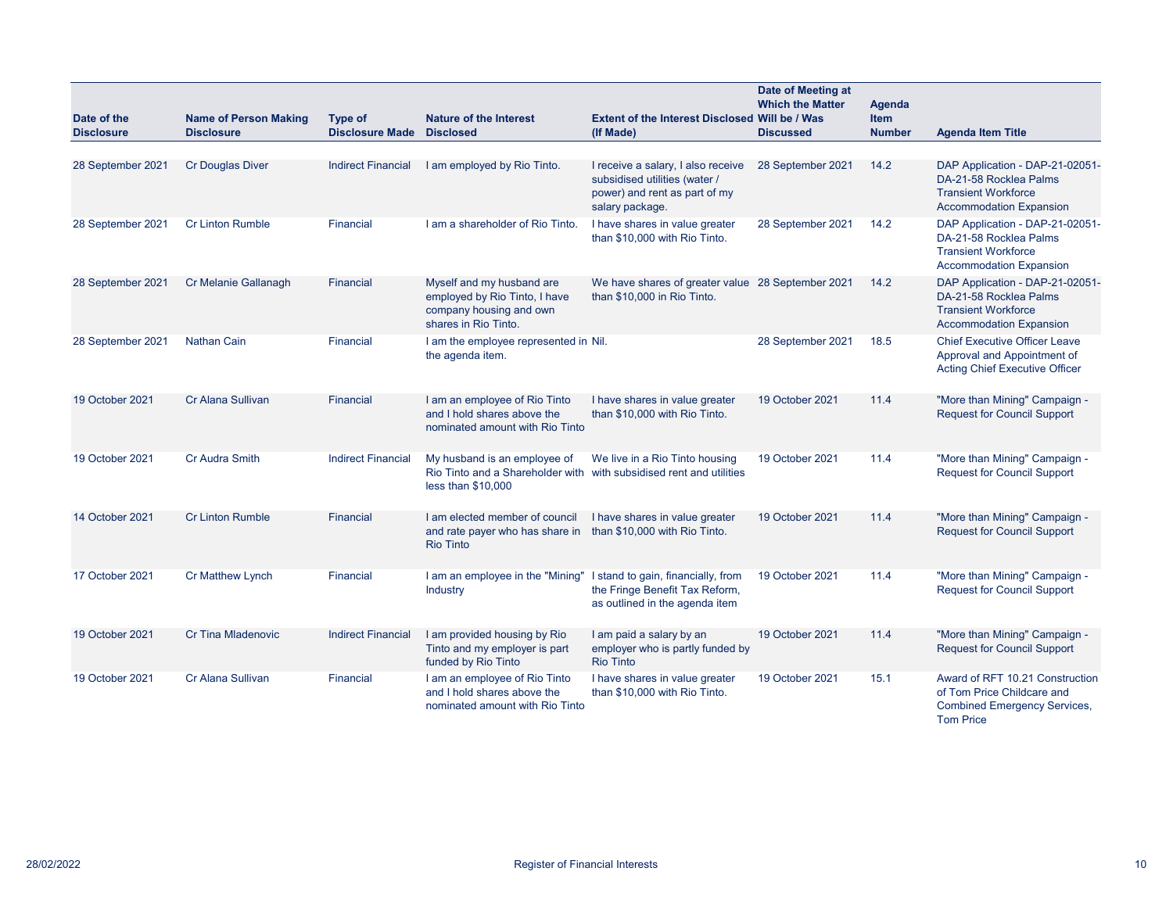| Date of the<br><b>Disclosure</b> | <b>Name of Person Making</b><br><b>Disclosure</b> | Type of<br><b>Disclosure Made</b> | <b>Nature of the Interest</b><br><b>Disclosed</b>                                                                         | <b>Extent of the Interest Disclosed Will be / Was</b><br>(If Made)                                                      | Date of Meeting at<br><b>Which the Matter</b><br><b>Discussed</b> | <b>Agenda</b><br><b>Item</b><br><b>Number</b> | <b>Agenda Item Title</b>                                                                                                  |
|----------------------------------|---------------------------------------------------|-----------------------------------|---------------------------------------------------------------------------------------------------------------------------|-------------------------------------------------------------------------------------------------------------------------|-------------------------------------------------------------------|-----------------------------------------------|---------------------------------------------------------------------------------------------------------------------------|
| 28 September 2021                | <b>Cr Douglas Diver</b>                           | <b>Indirect Financial</b>         | I am employed by Rio Tinto.                                                                                               | I receive a salary, I also receive<br>subsidised utilities (water /<br>power) and rent as part of my<br>salary package. | 28 September 2021                                                 | 14.2                                          | DAP Application - DAP-21-02051-<br>DA-21-58 Rocklea Palms<br><b>Transient Workforce</b><br><b>Accommodation Expansion</b> |
| 28 September 2021                | <b>Cr Linton Rumble</b>                           | Financial                         | I am a shareholder of Rio Tinto.                                                                                          | I have shares in value greater<br>than \$10,000 with Rio Tinto.                                                         | 28 September 2021                                                 | 14.2                                          | DAP Application - DAP-21-02051-<br>DA-21-58 Rocklea Palms<br><b>Transient Workforce</b><br><b>Accommodation Expansion</b> |
| 28 September 2021                | Cr Melanie Gallanagh                              | Financial                         | Myself and my husband are<br>employed by Rio Tinto, I have<br>company housing and own<br>shares in Rio Tinto.             | We have shares of greater value 28 September 2021<br>than \$10,000 in Rio Tinto.                                        |                                                                   | 14.2                                          | DAP Application - DAP-21-02051-<br>DA-21-58 Rocklea Palms<br><b>Transient Workforce</b><br><b>Accommodation Expansion</b> |
| 28 September 2021                | <b>Nathan Cain</b>                                | Financial                         | I am the employee represented in Nil.<br>the agenda item.                                                                 |                                                                                                                         | 28 September 2021                                                 | 18.5                                          | <b>Chief Executive Officer Leave</b><br>Approval and Appointment of<br><b>Acting Chief Executive Officer</b>              |
| 19 October 2021                  | Cr Alana Sullivan                                 | Financial                         | I am an employee of Rio Tinto<br>and I hold shares above the<br>nominated amount with Rio Tinto                           | I have shares in value greater<br>than \$10,000 with Rio Tinto.                                                         | 19 October 2021                                                   | 11.4                                          | "More than Mining" Campaign -<br><b>Request for Council Support</b>                                                       |
| 19 October 2021                  | <b>Cr Audra Smith</b>                             | <b>Indirect Financial</b>         | My husband is an employee of<br>Rio Tinto and a Shareholder with with subsidised rent and utilities<br>less than \$10,000 | We live in a Rio Tinto housing                                                                                          | 19 October 2021                                                   | 11.4                                          | "More than Mining" Campaign -<br><b>Request for Council Support</b>                                                       |
| 14 October 2021                  | <b>Cr Linton Rumble</b>                           | <b>Financial</b>                  | I am elected member of council<br>and rate payer who has share in than \$10,000 with Rio Tinto.<br><b>Rio Tinto</b>       | I have shares in value greater                                                                                          | 19 October 2021                                                   | 11.4                                          | "More than Mining" Campaign -<br><b>Request for Council Support</b>                                                       |
| 17 October 2021                  | <b>Cr Matthew Lynch</b>                           | Financial                         | I am an employee in the "Mining"<br>Industry                                                                              | I stand to gain, financially, from<br>the Fringe Benefit Tax Reform,<br>as outlined in the agenda item                  | 19 October 2021                                                   | 11.4                                          | "More than Mining" Campaign -<br><b>Request for Council Support</b>                                                       |
| 19 October 2021                  | <b>Cr Tina Mladenovic</b>                         | <b>Indirect Financial</b>         | I am provided housing by Rio<br>Tinto and my employer is part<br>funded by Rio Tinto                                      | I am paid a salary by an<br>employer who is partly funded by<br><b>Rio Tinto</b>                                        | 19 October 2021                                                   | 11.4                                          | "More than Mining" Campaign -<br><b>Request for Council Support</b>                                                       |
| 19 October 2021                  | Cr Alana Sullivan                                 | Financial                         | I am an employee of Rio Tinto<br>and I hold shares above the<br>nominated amount with Rio Tinto                           | I have shares in value greater<br>than \$10,000 with Rio Tinto.                                                         | 19 October 2021                                                   | 15.1                                          | Award of RFT 10.21 Construction<br>of Tom Price Childcare and<br><b>Combined Emergency Services,</b><br><b>Tom Price</b>  |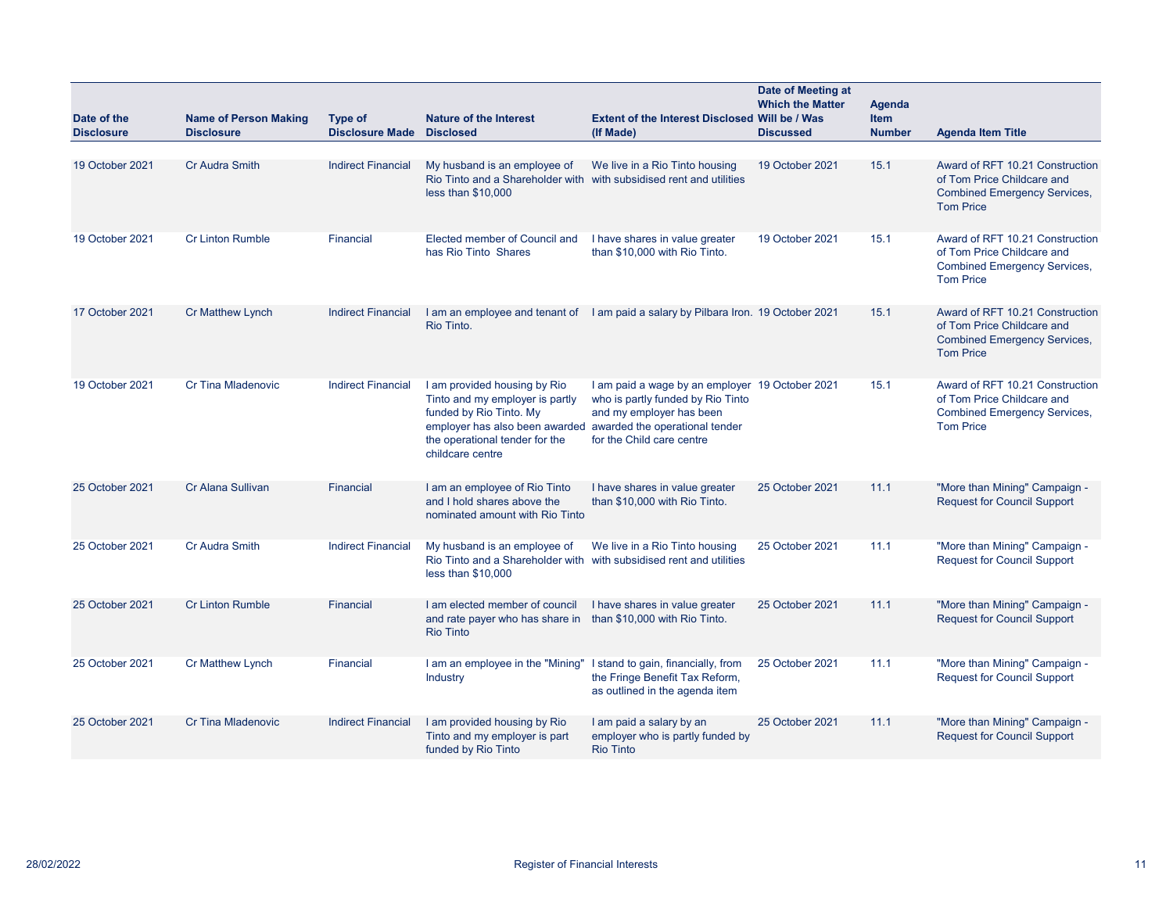| Date of the       | <b>Name of Person Making</b> | Type of                   | <b>Nature of the Interest</b>                                                                                                                                                                                     | Extent of the Interest Disclosed Will be / Was                                                                                                | Date of Meeting at<br><b>Which the Matter</b> | <b>Agenda</b><br><b>Item</b> |                                                                                                                          |
|-------------------|------------------------------|---------------------------|-------------------------------------------------------------------------------------------------------------------------------------------------------------------------------------------------------------------|-----------------------------------------------------------------------------------------------------------------------------------------------|-----------------------------------------------|------------------------------|--------------------------------------------------------------------------------------------------------------------------|
| <b>Disclosure</b> | <b>Disclosure</b>            | <b>Disclosure Made</b>    | <b>Disclosed</b>                                                                                                                                                                                                  | (If Made)                                                                                                                                     | <b>Discussed</b>                              | <b>Number</b>                | <b>Agenda Item Title</b>                                                                                                 |
| 19 October 2021   | <b>Cr Audra Smith</b>        | <b>Indirect Financial</b> | My husband is an employee of<br>Rio Tinto and a Shareholder with with subsidised rent and utilities<br>less than \$10,000                                                                                         | We live in a Rio Tinto housing                                                                                                                | 19 October 2021                               | 15.1                         | Award of RFT 10.21 Construction<br>of Tom Price Childcare and<br><b>Combined Emergency Services,</b><br><b>Tom Price</b> |
| 19 October 2021   | <b>Cr Linton Rumble</b>      | Financial                 | Elected member of Council and<br>has Rio Tinto Shares                                                                                                                                                             | I have shares in value greater<br>than \$10,000 with Rio Tinto.                                                                               | 19 October 2021                               | 15.1                         | Award of RFT 10.21 Construction<br>of Tom Price Childcare and<br><b>Combined Emergency Services,</b><br><b>Tom Price</b> |
| 17 October 2021   | <b>Cr Matthew Lynch</b>      | <b>Indirect Financial</b> | Rio Tinto.                                                                                                                                                                                                        | I am an employee and tenant of I am paid a salary by Pilbara Iron. 19 October 2021                                                            |                                               | 15.1                         | Award of RFT 10.21 Construction<br>of Tom Price Childcare and<br><b>Combined Emergency Services,</b><br><b>Tom Price</b> |
| 19 October 2021   | <b>Cr Tina Mladenovic</b>    | <b>Indirect Financial</b> | I am provided housing by Rio<br>Tinto and my employer is partly<br>funded by Rio Tinto. My<br>employer has also been awarded awarded the operational tender<br>the operational tender for the<br>childcare centre | I am paid a wage by an employer 19 October 2021<br>who is partly funded by Rio Tinto<br>and my employer has been<br>for the Child care centre |                                               | 15.1                         | Award of RFT 10.21 Construction<br>of Tom Price Childcare and<br><b>Combined Emergency Services,</b><br><b>Tom Price</b> |
| 25 October 2021   | Cr Alana Sullivan            | Financial                 | I am an employee of Rio Tinto<br>and I hold shares above the<br>nominated amount with Rio Tinto                                                                                                                   | I have shares in value greater<br>than \$10,000 with Rio Tinto.                                                                               | 25 October 2021                               | 11.1                         | "More than Mining" Campaign -<br><b>Request for Council Support</b>                                                      |
| 25 October 2021   | Cr Audra Smith               | <b>Indirect Financial</b> | My husband is an employee of<br>Rio Tinto and a Shareholder with with subsidised rent and utilities<br>less than \$10,000                                                                                         | We live in a Rio Tinto housing                                                                                                                | 25 October 2021                               | 11.1                         | "More than Mining" Campaign -<br><b>Request for Council Support</b>                                                      |
| 25 October 2021   | <b>Cr Linton Rumble</b>      | Financial                 | I am elected member of council<br>and rate payer who has share in than \$10,000 with Rio Tinto.<br><b>Rio Tinto</b>                                                                                               | I have shares in value greater                                                                                                                | 25 October 2021                               | 11.1                         | "More than Mining" Campaign -<br><b>Request for Council Support</b>                                                      |
| 25 October 2021   | <b>Cr Matthew Lynch</b>      | Financial                 | I am an employee in the "Mining" I stand to gain, financially, from<br><b>Industry</b>                                                                                                                            | the Fringe Benefit Tax Reform,<br>as outlined in the agenda item                                                                              | 25 October 2021                               | 11.1                         | "More than Mining" Campaign -<br><b>Request for Council Support</b>                                                      |
| 25 October 2021   | <b>Cr Tina Mladenovic</b>    | <b>Indirect Financial</b> | I am provided housing by Rio<br>Tinto and my employer is part<br>funded by Rio Tinto                                                                                                                              | I am paid a salary by an<br>employer who is partly funded by<br><b>Rio Tinto</b>                                                              | 25 October 2021                               | 11.1                         | "More than Mining" Campaign -<br><b>Request for Council Support</b>                                                      |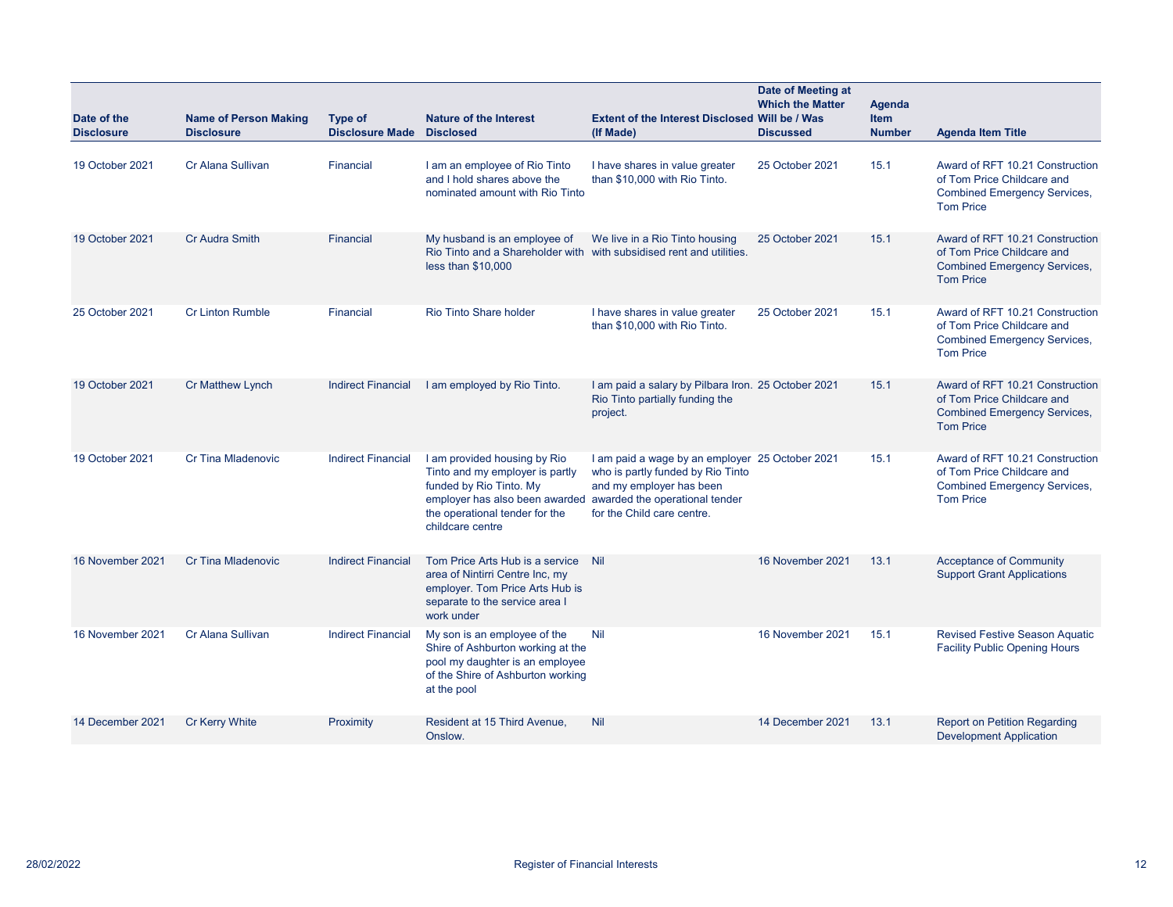| Date of the<br><b>Disclosure</b> | <b>Name of Person Making</b><br><b>Disclosure</b> | Type of<br><b>Disclosure Made</b> | <b>Nature of the Interest</b><br><b>Disclosed</b>                                                                                                                                  | Extent of the Interest Disclosed Will be / Was<br>(If Made)                                                                                                                      | Date of Meeting at<br><b>Which the Matter</b><br><b>Discussed</b> | <b>Agenda</b><br><b>Item</b><br><b>Number</b> | <b>Agenda Item Title</b>                                                                                                 |
|----------------------------------|---------------------------------------------------|-----------------------------------|------------------------------------------------------------------------------------------------------------------------------------------------------------------------------------|----------------------------------------------------------------------------------------------------------------------------------------------------------------------------------|-------------------------------------------------------------------|-----------------------------------------------|--------------------------------------------------------------------------------------------------------------------------|
| 19 October 2021                  | Cr Alana Sullivan                                 | Financial                         | I am an employee of Rio Tinto<br>and I hold shares above the<br>nominated amount with Rio Tinto                                                                                    | I have shares in value greater<br>than \$10,000 with Rio Tinto.                                                                                                                  | 25 October 2021                                                   | 15.1                                          | Award of RFT 10.21 Construction<br>of Tom Price Childcare and<br><b>Combined Emergency Services,</b><br><b>Tom Price</b> |
| 19 October 2021                  | <b>Cr Audra Smith</b>                             | Financial                         | My husband is an employee of<br>less than $$10,000$                                                                                                                                | We live in a Rio Tinto housing<br>Rio Tinto and a Shareholder with with subsidised rent and utilities.                                                                           | 25 October 2021                                                   | 15.1                                          | Award of RFT 10.21 Construction<br>of Tom Price Childcare and<br><b>Combined Emergency Services,</b><br><b>Tom Price</b> |
| 25 October 2021                  | <b>Cr Linton Rumble</b>                           | Financial                         | Rio Tinto Share holder                                                                                                                                                             | I have shares in value greater<br>than \$10,000 with Rio Tinto.                                                                                                                  | 25 October 2021                                                   | 15.1                                          | Award of RFT 10.21 Construction<br>of Tom Price Childcare and<br><b>Combined Emergency Services,</b><br><b>Tom Price</b> |
| 19 October 2021                  | <b>Cr Matthew Lynch</b>                           | <b>Indirect Financial</b>         | I am employed by Rio Tinto.                                                                                                                                                        | I am paid a salary by Pilbara Iron. 25 October 2021<br>Rio Tinto partially funding the<br>project.                                                                               |                                                                   | 15.1                                          | Award of RFT 10.21 Construction<br>of Tom Price Childcare and<br><b>Combined Emergency Services,</b><br><b>Tom Price</b> |
| 19 October 2021                  | <b>Cr Tina Mladenovic</b>                         | <b>Indirect Financial</b>         | I am provided housing by Rio<br>Tinto and my employer is partly<br>funded by Rio Tinto. My<br>employer has also been awarded<br>the operational tender for the<br>childcare centre | I am paid a wage by an employer 25 October 2021<br>who is partly funded by Rio Tinto<br>and my employer has been<br>awarded the operational tender<br>for the Child care centre. |                                                                   | 15.1                                          | Award of RFT 10.21 Construction<br>of Tom Price Childcare and<br><b>Combined Emergency Services,</b><br><b>Tom Price</b> |
| 16 November 2021                 | <b>Cr Tina Mladenovic</b>                         | <b>Indirect Financial</b>         | Tom Price Arts Hub is a service Nil<br>area of Nintirri Centre Inc, my<br>employer. Tom Price Arts Hub is<br>separate to the service area I<br>work under                          |                                                                                                                                                                                  | 16 November 2021                                                  | 13.1                                          | <b>Acceptance of Community</b><br><b>Support Grant Applications</b>                                                      |
| 16 November 2021                 | Cr Alana Sullivan                                 | <b>Indirect Financial</b>         | My son is an employee of the<br>Shire of Ashburton working at the<br>pool my daughter is an employee<br>of the Shire of Ashburton working<br>at the pool                           | Nil                                                                                                                                                                              | 16 November 2021                                                  | 15.1                                          | <b>Revised Festive Season Aquatic</b><br><b>Facility Public Opening Hours</b>                                            |
| 14 December 2021                 | <b>Cr Kerry White</b>                             | Proximity                         | Resident at 15 Third Avenue,<br>Onslow.                                                                                                                                            | <b>Nil</b>                                                                                                                                                                       | 14 December 2021                                                  | 13.1                                          | <b>Report on Petition Regarding</b><br><b>Development Application</b>                                                    |